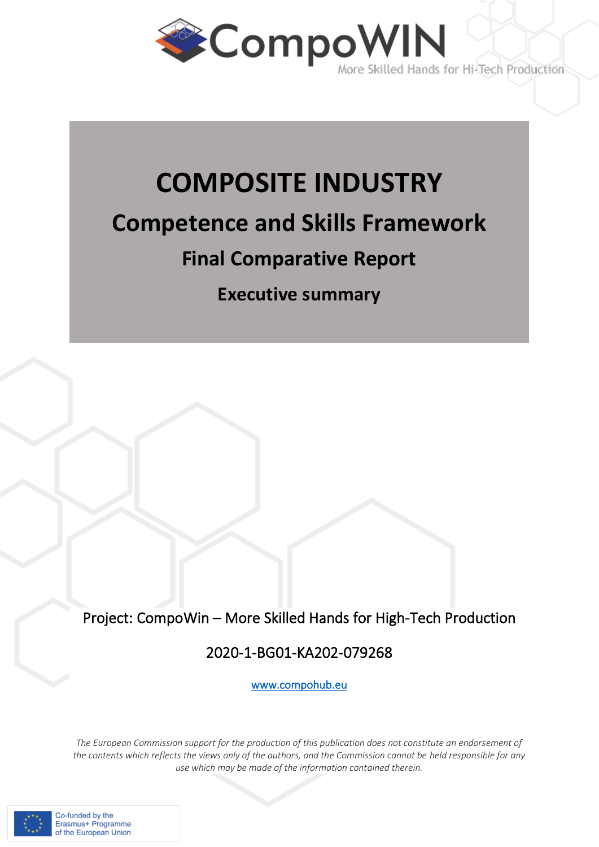

# **COMPOSITE INDUSTRY Competence and Skills Framework Final Comparative Report**

**Executive summary**

Project: CompoWin – More Skilled Hands for High-Tech Production

## 2020-1-BG01-KA202-079268

[www.compohub.eu](http://www.mindfulageing.eu/)

*The European Commission support for the production of this publication does not constitute an endorsement of the contents which reflects the views only of the authors, and the Commission cannot be held responsible for any use which may be made of the information contained therein.* 

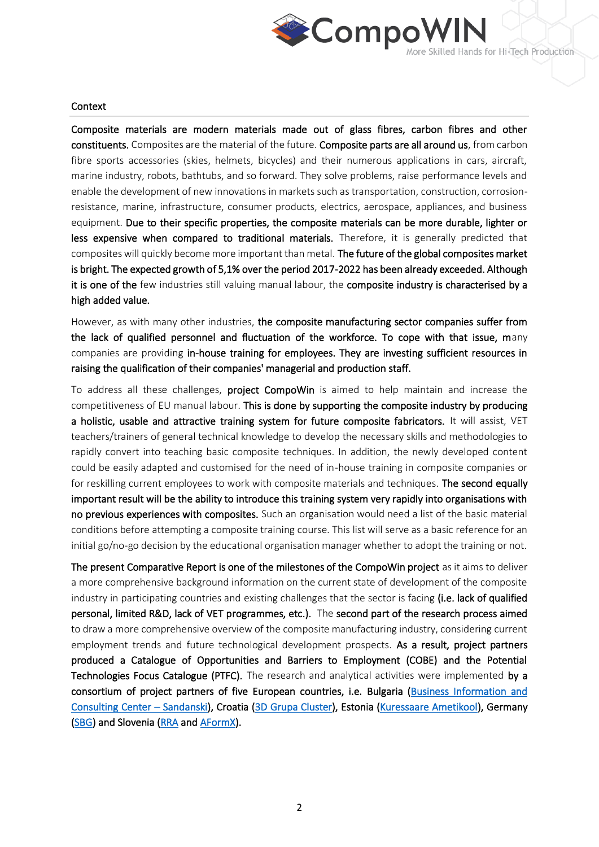

#### Context

Composite materials are modern materials made out of glass fibres, carbon fibres and other constituents. Composites are the material of the future. Composite parts are all around us, from carbon fibre sports accessories (skies, helmets, bicycles) and their numerous applications in cars, aircraft, marine industry, robots, bathtubs, and so forward. They solve problems, raise performance levels and enable the development of new innovations in markets such as transportation, construction, corrosionresistance, marine, infrastructure, consumer products, electrics, aerospace, appliances, and business equipment. Due to their specific properties, the composite materials can be more durable, lighter or less expensive when compared to traditional materials. Therefore, it is generally predicted that composites will quickly become more important than metal. The future of the global composites market is bright. The expected growth of 5,1% over the period 2017-2022 has been already exceeded. Although it is one of the few industries still valuing manual labour, the composite industry is characterised by a high added value.

However, as with many other industries, the composite manufacturing sector companies suffer from the lack of qualified personnel and fluctuation of the workforce. To cope with that issue, many companies are providing in-house training for employees. They are investing sufficient resources in raising the qualification of their companies' managerial and production staff.

To address all these challenges, project CompoWin is aimed to help maintain and increase the competitiveness of EU manual labour. This is done by supporting the composite industry by producing a holistic, usable and attractive training system for future composite fabricators. It will assist, VET teachers/trainers of general technical knowledge to develop the necessary skills and methodologies to rapidly convert into teaching basic composite techniques. In addition, the newly developed content could be easily adapted and customised for the need of in-house training in composite companies or for reskilling current employees to work with composite materials and techniques. The second equally important result will be the ability to introduce this training system very rapidly into organisations with no previous experiences with composites. Such an organisation would need a list of the basic material conditions before attempting a composite training course. This list will serve as a basic reference for an initial go/no-go decision by the educational organisation manager whether to adopt the training or not.

The present Comparative Report is one of the milestones of the CompoWin project as it aims to deliver a more comprehensive background information on the current state of development of the composite industry in participating countries and existing challenges that the sector is facing (i.e. lack of qualified personal, limited R&D, lack of VET programmes, etc.). The second part of the research process aimed to draw a more comprehensive overview of the composite manufacturing industry, considering current employment trends and future technological development prospects. As a result, project partners produced a Catalogue of Opportunities and Barriers to Employment (COBE) and the Potential Technologies Focus Catalogue (PTFC). The research and analytical activities were implemented by a consortium of project partners of five European countries, i.e. Bulgaria [\(Business Information and](http://www.bicc-sandanski.org/)  [Consulting Center](http://www.bicc-sandanski.org/) – Sandanski), Croatia [\(3D Grupa Cluster\)](https://3d-grupa.com/), Estonia [\(Kuressaare Ametikool\)](https://www.ametikool.ee/), Germany [\(SBG\)](https://www.sbg-dresden.de/) and Slovenia [\(RRA a](https://www.rra-zasavje.si/)nd [AFormX\)](https://www.aformx.si/).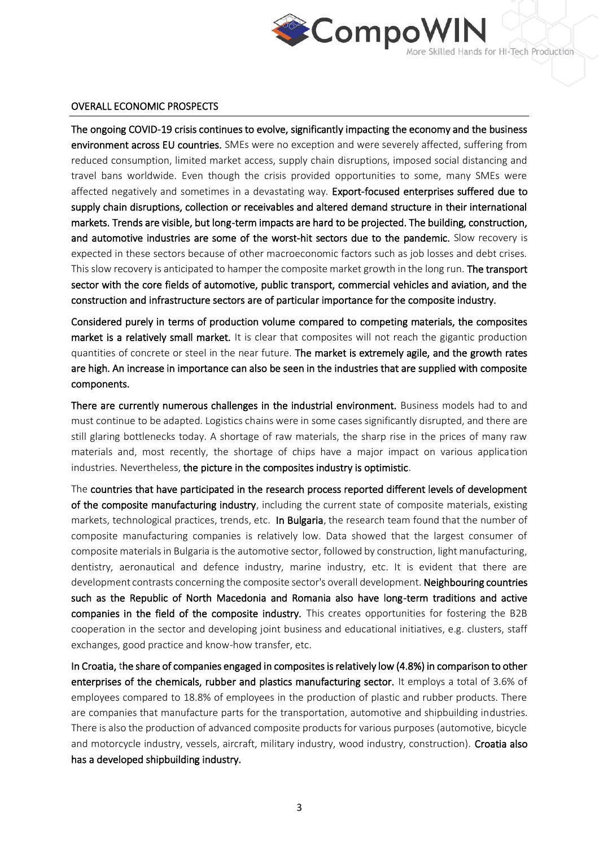

#### OVERALL ECONOMIC PROSPECTS

The ongoing COVID-19 crisis continues to evolve, significantly impacting the economy and the business environment across EU countries. SMEs were no exception and were severely affected, suffering from reduced consumption, limited market access, supply chain disruptions, imposed social distancing and travel bans worldwide. Even though the crisis provided opportunities to some, many SMEs were affected negatively and sometimes in a devastating way. Export-focused enterprises suffered due to supply chain disruptions, collection or receivables and altered demand structure in their international markets. Trends are visible, but long-term impacts are hard to be projected. The building, construction, and automotive industries are some of the worst-hit sectors due to the pandemic. Slow recovery is expected in these sectors because of other macroeconomic factors such as job losses and debt crises. This slow recovery is anticipated to hamper the composite market growth in the long run. The transport sector with the core fields of automotive, public transport, commercial vehicles and aviation, and the construction and infrastructure sectors are of particular importance for the composite industry.

Considered purely in terms of production volume compared to competing materials, the composites market is a relatively small market. It is clear that composites will not reach the gigantic production quantities of concrete or steel in the near future. The market is extremely agile, and the growth rates are high. An increase in importance can also be seen in the industries that are supplied with composite components.

There are currently numerous challenges in the industrial environment. Business models had to and must continue to be adapted. Logistics chains were in some cases significantly disrupted, and there are still glaring bottlenecks today. A shortage of raw materials, the sharp rise in the prices of many raw materials and, most recently, the shortage of chips have a major impact on various application industries. Nevertheless, the picture in the composites industry is optimistic.

The countries that have participated in the research process reported different levels of development of the composite manufacturing industry, including the current state of composite materials, existing markets, technological practices, trends, etc. In Bulgaria, the research team found that the number of composite manufacturing companies is relatively low. Data showed that the largest consumer of composite materials in Bulgaria is the automotive sector, followed by construction, light manufacturing, dentistry, aeronautical and defence industry, marine industry, etc. It is evident that there are development contrasts concerning the composite sector's overall development. Neighbouring countries such as the Republic of North Macedonia and Romania also have long-term traditions and active companies in the field of the composite industry. This creates opportunities for fostering the B2B cooperation in the sector and developing joint business and educational initiatives, e.g. clusters, staff exchanges, good practice and know-how transfer, etc.

In Croatia, the share of companies engaged in composites is relatively low (4.8%) in comparison to other enterprises of the chemicals, rubber and plastics manufacturing sector. It employs a total of 3.6% of employees compared to 18.8% of employees in the production of plastic and rubber products. There are companies that manufacture parts for the transportation, automotive and shipbuilding industries. There is also the production of advanced composite products for various purposes (automotive, bicycle and motorcycle industry, vessels, aircraft, military industry, wood industry, construction). Croatia also has a developed shipbuilding industry.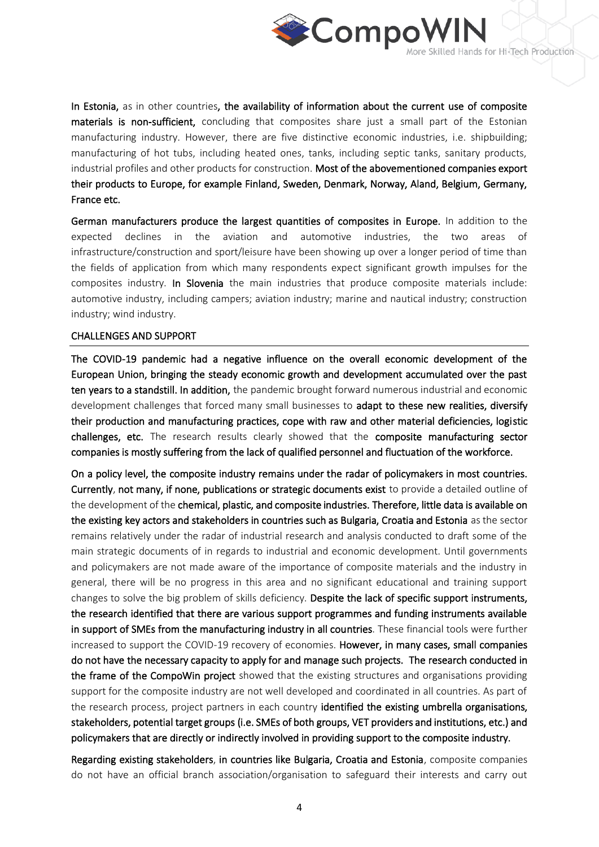

In Estonia, as in other countries, the availability of information about the current use of composite materials is non-sufficient, concluding that composites share just a small part of the Estonian manufacturing industry. However, there are five distinctive economic industries, i.e. shipbuilding; manufacturing of hot tubs, including heated ones, tanks, including septic tanks, sanitary products, industrial profiles and other products for construction. Most of the abovementioned companies export their products to Europe, for example Finland, Sweden, Denmark, Norway, Aland, Belgium, Germany, France etc.

German manufacturers produce the largest quantities of composites in Europe. In addition to the expected declines in the aviation and automotive industries, the two areas infrastructure/construction and sport/leisure have been showing up over a longer period of time than the fields of application from which many respondents expect significant growth impulses for the composites industry. In Slovenia the main industries that produce composite materials include: automotive industry, including campers; aviation industry; marine and nautical industry; construction industry; wind industry.

#### CHALLENGES AND SUPPORT

The COVID-19 pandemic had a negative influence on the overall economic development of the European Union, bringing the steady economic growth and development accumulated over the past ten years to a standstill. In addition, the pandemic brought forward numerous industrial and economic development challenges that forced many small businesses to adapt to these new realities, diversify their production and manufacturing practices, cope with raw and other material deficiencies, logistic challenges, etc. The research results clearly showed that the composite manufacturing sector companies is mostly suffering from the lack of qualified personnel and fluctuation of the workforce.

On a policy level, the composite industry remains under the radar of policymakers in most countries. Currently, not many, if none, publications or strategic documents exist to provide a detailed outline of the development of the chemical, plastic, and composite industries. Therefore, little data is available on the existing key actors and stakeholders in countries such as Bulgaria, Croatia and Estonia as the sector remains relatively under the radar of industrial research and analysis conducted to draft some of the main strategic documents of in regards to industrial and economic development. Until governments and policymakers are not made aware of the importance of composite materials and the industry in general, there will be no progress in this area and no significant educational and training support changes to solve the big problem of skills deficiency. Despite the lack of specific support instruments, the research identified that there are various support programmes and funding instruments available in support of SMEs from the manufacturing industry in all countries. These financial tools were further increased to support the COVID-19 recovery of economies. However, in many cases, small companies do not have the necessary capacity to apply for and manage such projects. The research conducted in the frame of the CompoWin project showed that the existing structures and organisations providing support for the composite industry are not well developed and coordinated in all countries. As part of the research process, project partners in each country identified the existing umbrella organisations, stakeholders, potential target groups (i.e. SMEs of both groups, VET providers and institutions, etc.) and policymakers that are directly or indirectly involved in providing support to the composite industry.

Regarding existing stakeholders, in countries like Bulgaria, Croatia and Estonia, composite companies do not have an official branch association/organisation to safeguard their interests and carry out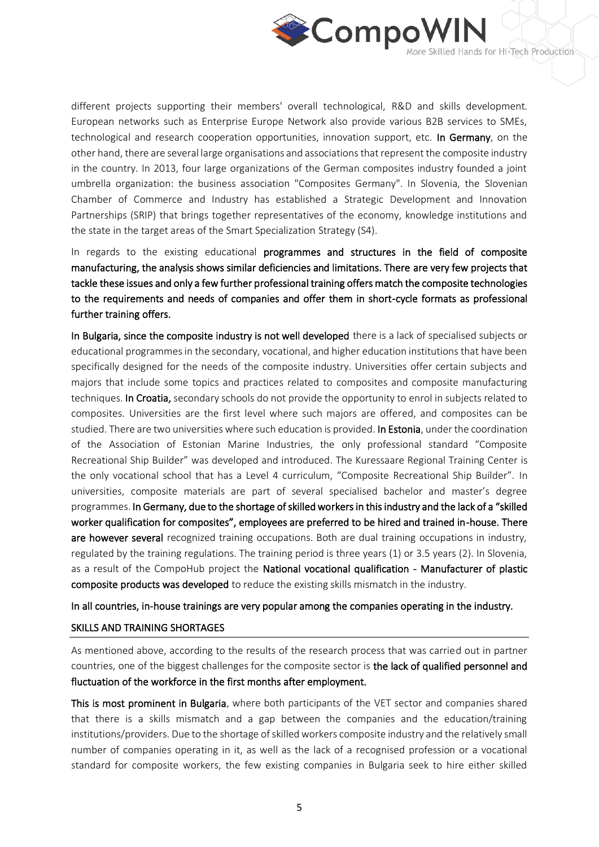

different projects supporting their members' overall technological, R&D and skills development. European networks such as Enterprise Europe Network also provide various B2B services to SMEs, technological and research cooperation opportunities, innovation support, etc. In Germany, on the other hand, there are several large organisations and associations that represent the composite industry in the country. In 2013, four large organizations of the German composites industry founded a joint umbrella organization: the business association "Composites Germany". In Slovenia, the Slovenian Chamber of Commerce and Industry has established a Strategic Development and Innovation Partnerships (SRIP) that brings together representatives of the economy, knowledge institutions and the state in the target areas of the Smart Specialization Strategy (S4).

In regards to the existing educational programmes and structures in the field of composite manufacturing, the analysis shows similar deficiencies and limitations. There are very few projects that tackle these issues and only a few further professional training offers match the composite technologies to the requirements and needs of companies and offer them in short-cycle formats as professional further training offers.

In Bulgaria, since the composite industry is not well developed there is a lack of specialised subjects or educational programmes in the secondary, vocational, and higher education institutions that have been specifically designed for the needs of the composite industry. Universities offer certain subjects and majors that include some topics and practices related to composites and composite manufacturing techniques. In Croatia, secondary schools do not provide the opportunity to enrol in subjects related to composites. Universities are the first level where such majors are offered, and composites can be studied. There are two universities where such education is provided. In Estonia, under the coordination of the Association of Estonian Marine Industries, the only professional standard "Composite Recreational Ship Builder" was developed and introduced. The Kuressaare Regional Training Center is the only vocational school that has a Level 4 curriculum, "Composite Recreational Ship Builder". In universities, composite materials are part of several specialised bachelor and master's degree programmes. In Germany, due to the shortage of skilled workers in this industry and the lack of a "skilled worker qualification for composites", employees are preferred to be hired and trained in-house. There are however several recognized training occupations. Both are dual training occupations in industry, regulated by the training regulations. The training period is three years (1) or 3.5 years (2). In Slovenia, as a result of the CompoHub project the National vocational qualification - Manufacturer of plastic composite products was developed to reduce the existing skills mismatch in the industry.

In all countries, in-house trainings are very popular among the companies operating in the industry.

### SKILLS AND TRAINING SHORTAGES

As mentioned above, according to the results of the research process that was carried out in partner countries, one of the biggest challenges for the composite sector is the lack of qualified personnel and fluctuation of the workforce in the first months after employment.

This is most prominent in Bulgaria, where both participants of the VET sector and companies shared that there is a skills mismatch and a gap between the companies and the education/training institutions/providers. Due to the shortage of skilled workers composite industry and the relatively small number of companies operating in it, as well as the lack of a recognised profession or a vocational standard for composite workers, the few existing companies in Bulgaria seek to hire either skilled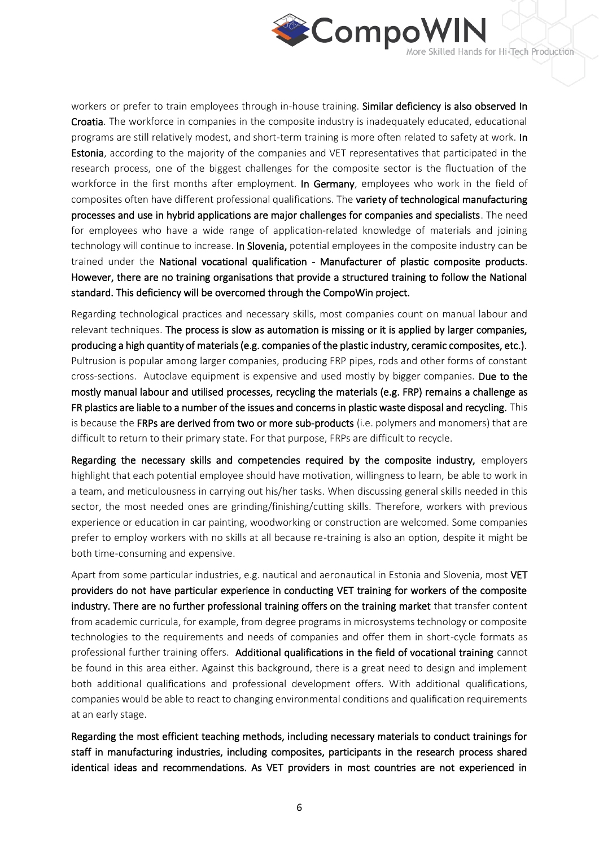

workers or prefer to train employees through in-house training. Similar deficiency is also observed In Croatia. The workforce in companies in the composite industry is inadequately educated, educational programs are still relatively modest, and short-term training is more often related to safety at work. In Estonia, according to the majority of the companies and VET representatives that participated in the research process, one of the biggest challenges for the composite sector is the fluctuation of the workforce in the first months after employment. In Germany, employees who work in the field of composites often have different professional qualifications. The variety of technological manufacturing processes and use in hybrid applications are major challenges for companies and specialists. The need for employees who have a wide range of application-related knowledge of materials and joining technology will continue to increase. In Slovenia, potential employees in the composite industry can be trained under the National vocational qualification - Manufacturer of plastic composite products. However, there are no training organisations that provide a structured training to follow the National standard. This deficiency will be overcomed through the CompoWin project.

Regarding technological practices and necessary skills, most companies count on manual labour and relevant techniques. The process is slow as automation is missing or it is applied by larger companies, producing a high quantity of materials (e.g. companies of the plastic industry, ceramic composites, etc.). Pultrusion is popular among larger companies, producing FRP pipes, rods and other forms of constant cross-sections. Autoclave equipment is expensive and used mostly by bigger companies. Due to the mostly manual labour and utilised processes, recycling the materials (e.g. FRP) remains a challenge as FR plastics are liable to a number of the issues and concerns in plastic waste disposal and recycling. This is because the FRPs are derived from two or more sub-products (i.e. polymers and monomers) that are difficult to return to their primary state. For that purpose, FRPs are difficult to recycle.

Regarding the necessary skills and competencies required by the composite industry, employers highlight that each potential employee should have motivation, willingness to learn, be able to work in a team, and meticulousness in carrying out his/her tasks. When discussing general skills needed in this sector, the most needed ones are grinding/finishing/cutting skills. Therefore, workers with previous experience or education in car painting, woodworking or construction are welcomed. Some companies prefer to employ workers with no skills at all because re-training is also an option, despite it might be both time-consuming and expensive.

Apart from some particular industries, e.g. nautical and aeronautical in Estonia and Slovenia, most VET providers do not have particular experience in conducting VET training for workers of the composite industry. There are no further professional training offers on the training market that transfer content from academic curricula, for example, from degree programs in microsystems technology or composite technologies to the requirements and needs of companies and offer them in short-cycle formats as professional further training offers. Additional qualifications in the field of vocational training cannot be found in this area either. Against this background, there is a great need to design and implement both additional qualifications and professional development offers. With additional qualifications, companies would be able to react to changing environmental conditions and qualification requirements at an early stage.

Regarding the most efficient teaching methods, including necessary materials to conduct trainings for staff in manufacturing industries, including composites, participants in the research process shared identical ideas and recommendations. As VET providers in most countries are not experienced in